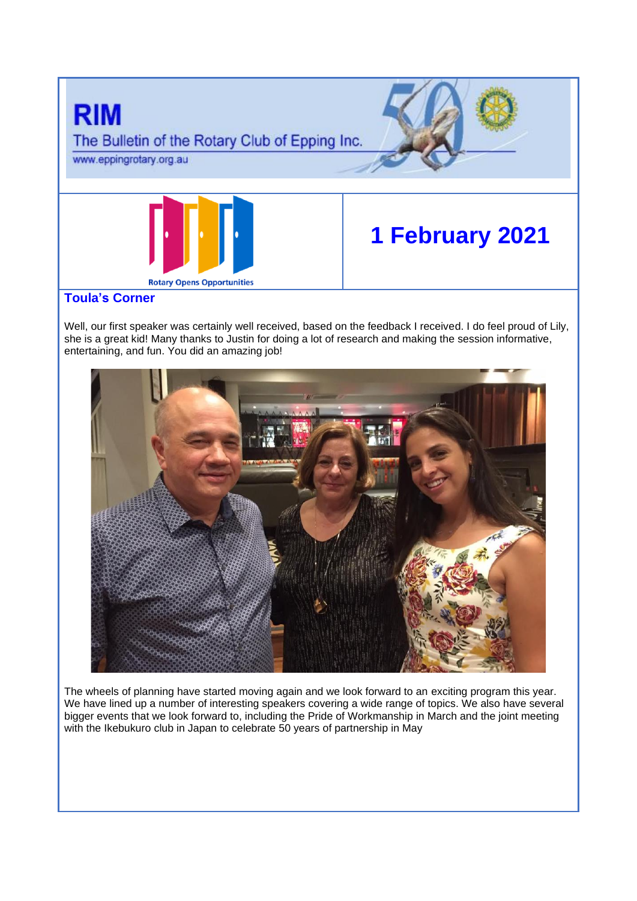

Well, our first speaker was certainly well received, based on the feedback I received. I do feel proud of Lily, she is a great kid! Many thanks to Justin for doing a lot of research and making the session informative, entertaining, and fun. You did an amazing job!



The wheels of planning have started moving again and we look forward to an exciting program this year. We have lined up a number of interesting speakers covering a wide range of topics. We also have several bigger events that we look forward to, including the Pride of Workmanship in March and the joint meeting with the Ikebukuro club in Japan to celebrate 50 years of partnership in May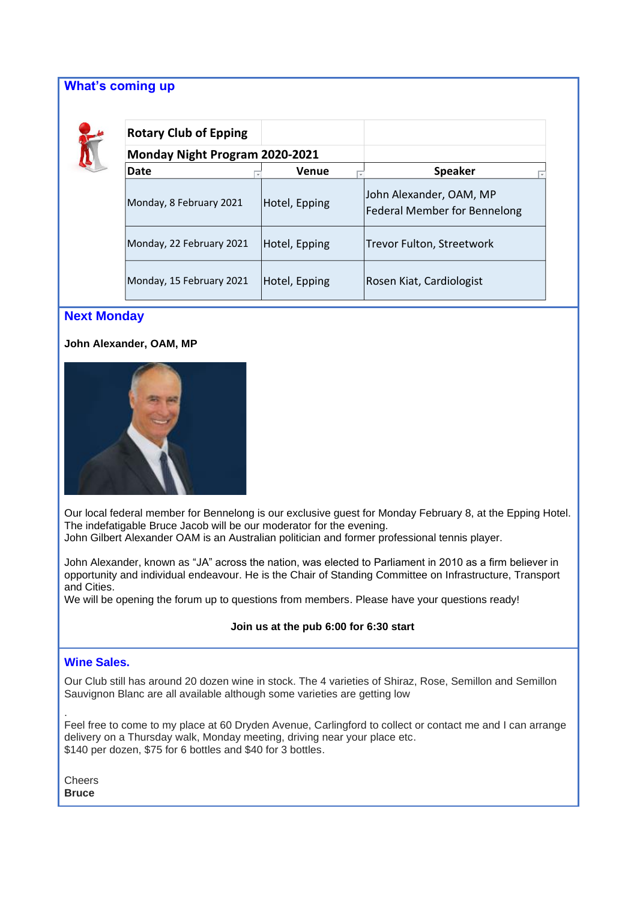## **What's coming up**



| <b>Rotary Club of Epping</b>   |               |                                                                |
|--------------------------------|---------------|----------------------------------------------------------------|
| Monday Night Program 2020-2021 |               |                                                                |
| Date                           | <b>Venue</b>  | <b>Speaker</b>                                                 |
| Monday, 8 February 2021        | Hotel, Epping | John Alexander, OAM, MP<br><b>Federal Member for Bennelong</b> |
| Monday, 22 February 2021       | Hotel, Epping | Trevor Fulton, Streetwork                                      |
| Monday, 15 February 2021       | Hotel, Epping | Rosen Kiat, Cardiologist                                       |

### **Next Monday**

**John Alexander, OAM, MP**



Our local federal member for Bennelong is our exclusive guest for Monday February 8, at the Epping Hotel. The indefatigable Bruce Jacob will be our moderator for the evening.

John Gilbert Alexander OAM is an Australian politician and former professional tennis player.

John Alexander, known as "JA" across the nation, was elected to Parliament in 2010 as a firm believer in opportunity and individual endeavour. He is the Chair of Standing Committee on Infrastructure, Transport and Cities.

We will be opening the forum up to questions from members. Please have your questions ready!

#### **Join us at the pub 6:00 for 6:30 start**

### **Wine Sales.**

Our Club still has around 20 dozen wine in stock. The 4 varieties of Shiraz, Rose, Semillon and Semillon Sauvignon Blanc are all available although some varieties are getting low

Feel free to come to my place at 60 Dryden Avenue, Carlingford to collect or contact me and I can arrange delivery on a Thursday walk, Monday meeting, driving near your place etc. \$140 per dozen, \$75 for 6 bottles and \$40 for 3 bottles.

**Cheers Bruce**

.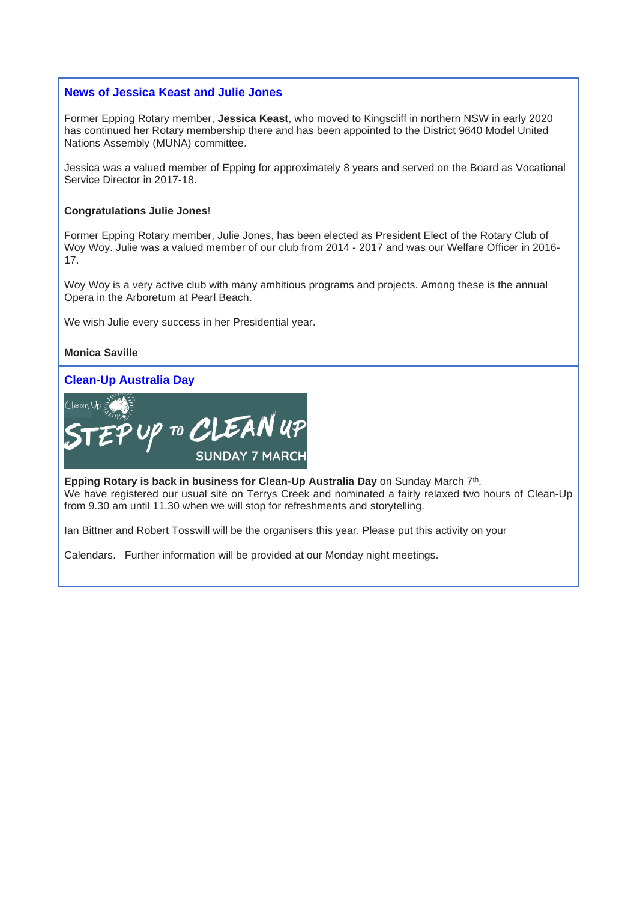#### **News of Jessica Keast and Julie Jones**

Former Epping Rotary member, **Jessica Keast**, who moved to Kingscliff in northern NSW in early 2020 has continued her Rotary membership there and has been appointed to the District 9640 Model United Nations Assembly (MUNA) committee.

Jessica was a valued member of Epping for approximately 8 years and served on the Board as Vocational Service Director in 2017-18.

#### **Congratulations Julie Jones**!

Former Epping Rotary member, Julie Jones, has been elected as President Elect of the Rotary Club of Woy Woy. Julie was a valued member of our club from 2014 - 2017 and was our Welfare Officer in 2016- 17.

Woy Woy is a very active club with many ambitious programs and projects. Among these is the annual Opera in the Arboretum at Pearl Beach.

We wish Julie every success in her Presidential year.

**Monica Saville**

## **Clean-Up Australia Day**



**Epping Rotary is back in business for Clean-Up Australia Day** on Sunday March 7<sup>th</sup>. We have registered our usual site on Terrys Creek and nominated a fairly relaxed two hours of Clean-Up from 9.30 am until 11.30 when we will stop for refreshments and storytelling.

Ian Bittner and Robert Tosswill will be the organisers this year. Please put this activity on your

Calendars. Further information will be provided at our Monday night meetings.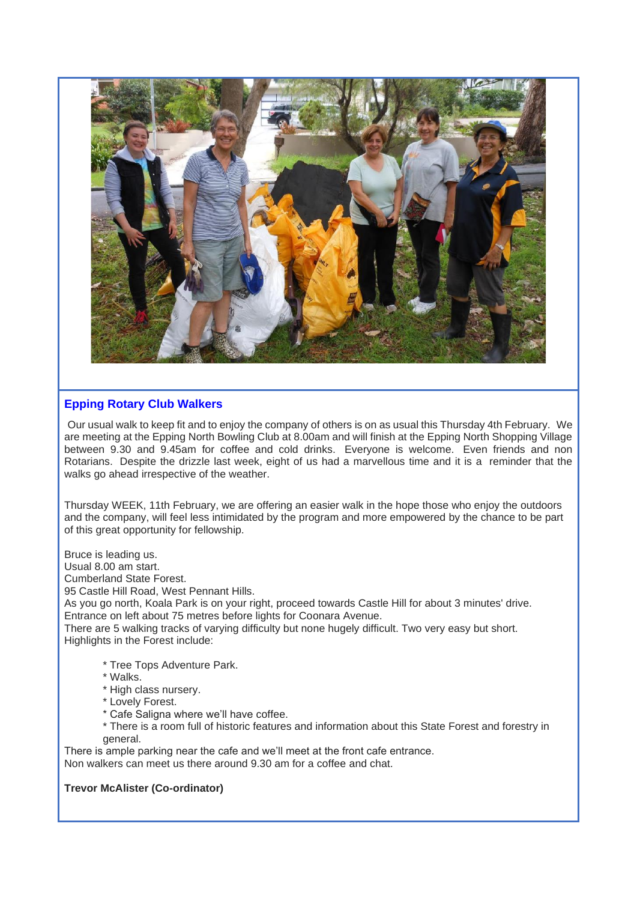

### **Epping Rotary Club Walkers**

Our usual walk to keep fit and to enjoy the company of others is on as usual this Thursday 4th February. We are meeting at the Epping North Bowling Club at 8.00am and will finish at the Epping North Shopping Village between 9.30 and 9.45am for coffee and cold drinks. Everyone is welcome. Even friends and non Rotarians. Despite the drizzle last week, eight of us had a marvellous time and it is a reminder that the walks go ahead irrespective of the weather.

Thursday WEEK, 11th February, we are offering an easier walk in the hope those who enjoy the outdoors and the company, will feel less intimidated by the program and more empowered by the chance to be part of this great opportunity for fellowship.

Bruce is leading us.

Usual 8.00 am start.

Cumberland State Forest.

95 Castle Hill Road, West Pennant Hills.

As you go north, Koala Park is on your right, proceed towards Castle Hill for about 3 minutes' drive. Entrance on left about 75 metres before lights for Coonara Avenue.

There are 5 walking tracks of varying difficulty but none hugely difficult. Two very easy but short. Highlights in the Forest include:

- \* Tree Tops Adventure Park.
- \* Walks.
- \* High class nursery.
- \* Lovely Forest.
- \* Cafe Saligna where we'll have coffee.
- \* There is a room full of historic features and information about this State Forest and forestry in general.

There is ample parking near the cafe and we'll meet at the front cafe entrance. Non walkers can meet us there around 9.30 am for a coffee and chat.

#### **Trevor McAlister (Co-ordinator)**